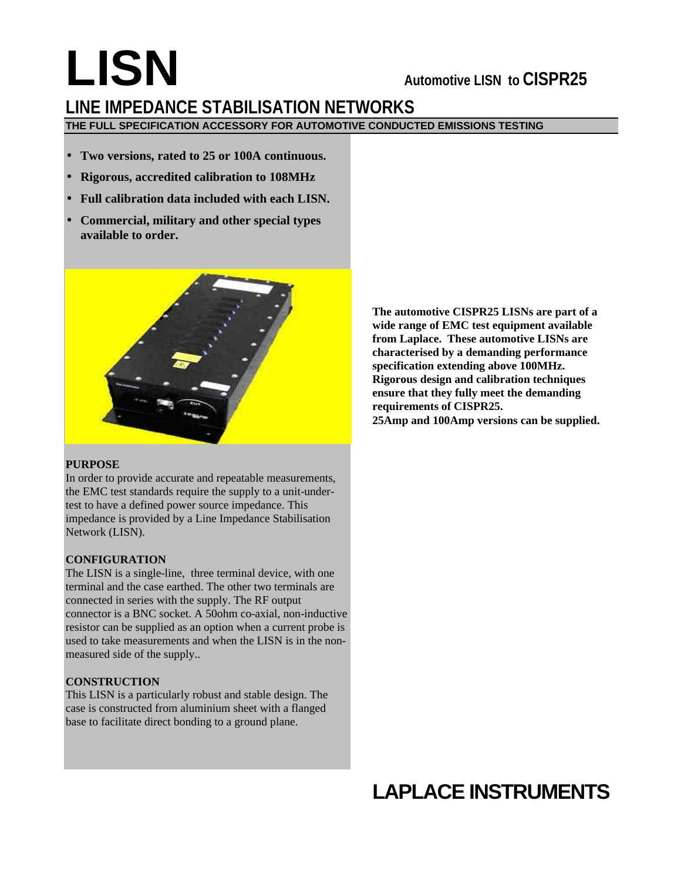# **LISN Automotive LISN to CISPR25 LINE IMPEDANCE STABILISATION NETWORKS THE FULL SPECIFICATION ACCESSORY FOR AUTOMOTIVE CONDUCTED EMISSIONS TESTING**

- **Two versions, rated to 25 or 100A continuous.**
- **Rigorous, accredited calibration to 108MHz**
- **Full calibration data included with each LISN.**
- **Commercial, military and other special types available to order.**



#### **PURPOSE**

In order to provide accurate and repeatable measurements, the EMC test standards require the supply to a unit-undertest to have a defined power source impedance. This impedance is provided by a Line Impedance Stabilisation Network (LISN).

#### **CONFIGURATION**

The LISN is a single-line, three terminal device, with one terminal and the case earthed. The other two terminals are connected in series with the supply. The RF output connector is a BNC socket. A 50ohm co-axial, non-inductive resistor can be supplied as an option when a current probe is used to take measurements and when the LISN is in the nonmeasured side of the supply..

## **CONSTRUCTION**

This LISN is a particularly robust and stable design. The case is constructed from aluminium sheet with a flanged base to facilitate direct bonding to a ground plane.

**The automotive CISPR25 LISNs are part of a wide range of EMC test equipment available from Laplace. These automotive LISNs are characterised by a demanding performance specification extending above 100MHz. Rigorous design and calibration techniques ensure that they fully meet the demanding requirements of CISPR25. 25Amp and 100Amp versions can be supplied.**

# **LAPLACE INSTRUMENTS**